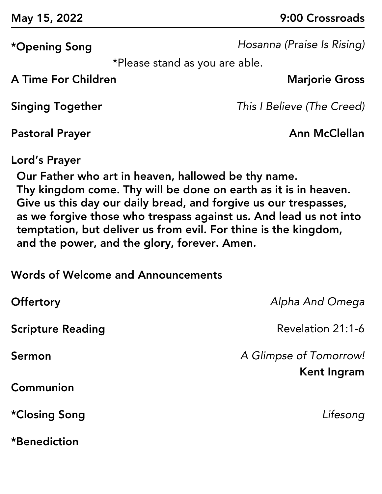\*Opening Song *Hosanna (Praise Is Rising)*

\*Please stand as you are able.

A Time For Children **Marjorie Gross** 

Singing Together *This I Believe (The Creed)*

Pastoral Prayer **Annual Prayer** Annual Prayer **Annual Prayer** 

Lord's Prayer

Our Father who art in heaven, hallowed be thy name. Thy kingdom come. Thy will be done on earth as it is in heaven. Give us this day our daily bread, and forgive us our trespasses, as we forgive those who trespass against us. And lead us not into temptation, but deliver us from evil. For thine is the kingdom, and the power, and the glory, forever. Amen.

Words of Welcome and Announcements

| <b>Offertory</b>         | Alpha And Omega                       |
|--------------------------|---------------------------------------|
| <b>Scripture Reading</b> | Revelation 21:1-6                     |
| Sermon                   | A Glimpse of Tomorrow!<br>Kent Ingram |
| Communion                |                                       |
| *Closing Song            | Lifesong                              |
| *Benediction             |                                       |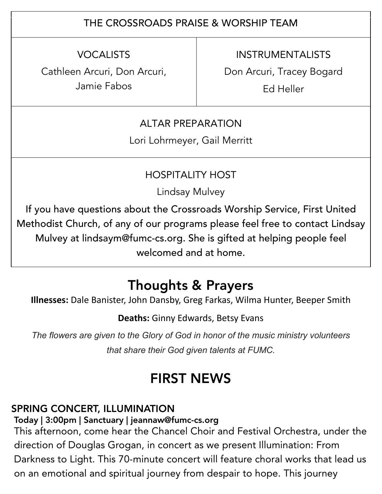## THE CROSSROADS PRAISE & WORSHIP TEAM

VOCALISTS

Cathleen Arcuri, Don Arcuri, Jamie Fabos

INSTRUMENTALISTS

Don Arcuri, Tracey Bogard

Ed Heller

### ALTAR PREPARATION

Lori Lohrmeyer, Gail Merritt

### HOSPITALITY HOST

Lindsay Mulvey

If you have questions about the Crossroads Worship Service, First United Methodist Church, of any of our programs please feel free to contact Lindsay Mulvey at lindsaym@fumc-cs.org. She is gifted at helping people feel welcomed and at home.

# Thoughts & Prayers

**Illnesses:** Dale Banister, John Dansby, Greg Farkas, Wilma Hunter, Beeper Smith

**Deaths:** Ginny Edwards, Betsy Evans

*The flowers are given to the Glory of God in honor of the music ministry volunteers that share their God given talents at FUMC.*

# FIRST NEWS

# SPRING CONCERT, ILLUMINATION

Today | 3:00pm | Sanctuary | jeannaw@fumc-cs.org

This afternoon, come hear the Chancel Choir and Festival Orchestra, under the direction of Douglas Grogan, in concert as we present Illumination: From Darkness to Light. This 70-minute concert will feature choral works that lead us on an emotional and spiritual journey from despair to hope. This journey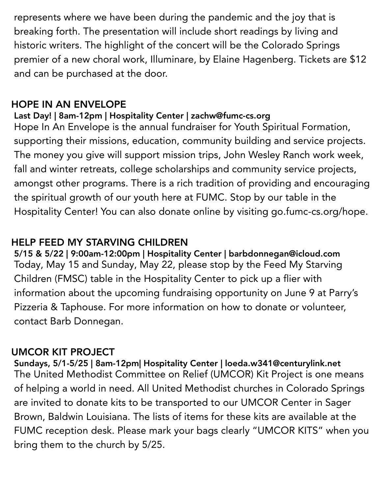represents where we have been during the pandemic and the joy that is breaking forth. The presentation will include short readings by living and historic writers. The highlight of the concert will be the Colorado Springs premier of a new choral work, Illuminare, by Elaine Hagenberg. Tickets are \$12 and can be purchased at the door.

#### HOPE IN AN ENVELOPE

### Last Day! | 8am-12pm | Hospitality Center | zachw@fumc-cs.org

Hope In An Envelope is the annual fundraiser for Youth Spiritual Formation, supporting their missions, education, community building and service projects. The money you give will support mission trips, John Wesley Ranch work week, fall and winter retreats, college scholarships and community service projects, amongst other programs. There is a rich tradition of providing and encouraging the spiritual growth of our youth here at FUMC. Stop by our table in the Hospitality Center! You can also donate online by visiting go.fumc-cs.org/hope.

## HELP FEED MY STARVING CHILDREN

5/15 & 5/22 | 9:00am-12:00pm | Hospitality Center | barbdonnegan@icloud.com Today, May 15 and Sunday, May 22, please stop by the Feed My Starving Children (FMSC) table in the Hospitality Center to pick up a flier with information about the upcoming fundraising opportunity on June 9 at Parry's Pizzeria & Taphouse. For more information on how to donate or volunteer, contact Barb Donnegan.

### UMCOR KIT PROJECT

Sundays, 5/1-5/25 | 8am-12pm| Hospitality Center | loeda.w341@centurylink.net The United Methodist Committee on Relief (UMCOR) Kit Project is one means of helping a world in need. All United Methodist churches in Colorado Springs are invited to donate kits to be transported to our UMCOR Center in Sager Brown, Baldwin Louisiana. The lists of items for these kits are available at the FUMC reception desk. Please mark your bags clearly "UMCOR KITS" when you bring them to the church by 5/25.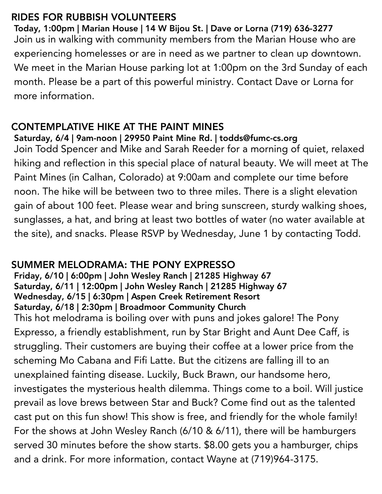## RIDES FOR RUBBISH VOLUNTEERS

Today, 1:00pm | Marian House | 14 W Bijou St. | Dave or Lorna (719) 636-3277 Join us in walking with community members from the Marian House who are experiencing homelesses or are in need as we partner to clean up downtown. We meet in the Marian House parking lot at 1:00pm on the 3rd Sunday of each month. Please be a part of this powerful ministry. Contact Dave or Lorna for more information.

## CONTEMPLATIVE HIKE AT THE PAINT MINES

#### Saturday, 6/4 | 9am-noon | 29950 Paint Mine Rd. | todds@fumc-cs.org

Join Todd Spencer and Mike and Sarah Reeder for a morning of quiet, relaxed hiking and reflection in this special place of natural beauty. We will meet at The Paint Mines (in Calhan, Colorado) at 9:00am and complete our time before noon. The hike will be between two to three miles. There is a slight elevation gain of about 100 feet. Please wear and bring sunscreen, sturdy walking shoes, sunglasses, a hat, and bring at least two bottles of water (no water available at the site), and snacks. Please RSVP by Wednesday, June 1 by contacting Todd.

## SUMMER MELODRAMA: THE PONY EXPRESSO

Friday, 6/10 | 6:00pm | John Wesley Ranch | 21285 Highway 67 Saturday, 6/11 | 12:00pm | John Wesley Ranch | 21285 Highway 67 Wednesday, 6/15 | 6:30pm | Aspen Creek Retirement Resort Saturday, 6/18 | 2:30pm | Broadmoor Community Church This hot melodrama is boiling over with puns and jokes galore! The Pony Expresso, a friendly establishment, run by Star Bright and Aunt Dee Caff, is struggling. Their customers are buying their coffee at a lower price from the scheming Mo Cabana and Fifi Latte. But the citizens are falling ill to an unexplained fainting disease. Luckily, Buck Brawn, our handsome hero, investigates the mysterious health dilemma. Things come to a boil. Will justice prevail as love brews between Star and Buck? Come find out as the talented cast put on this fun show! This show is free, and friendly for the whole family! For the shows at John Wesley Ranch (6/10 & 6/11), there will be hamburgers served 30 minutes before the show starts. \$8.00 gets you a hamburger, chips and a drink. For more information, contact Wayne at (719)964-3175.